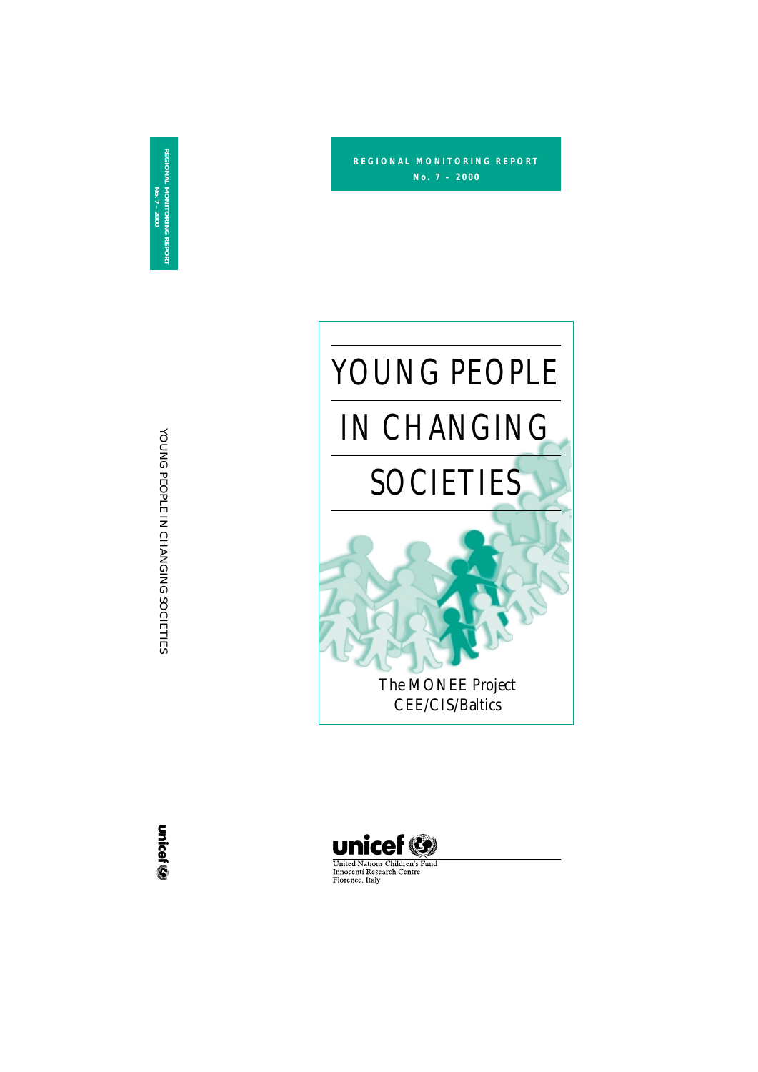YOUNG PEOPLE IN

CHANGING

SOCIETIES

**REGIONAL MONITORING REPORT No. 7 – 2000**









**United Nations Children's Fund** Innocenti Research Centre Florence, Italy